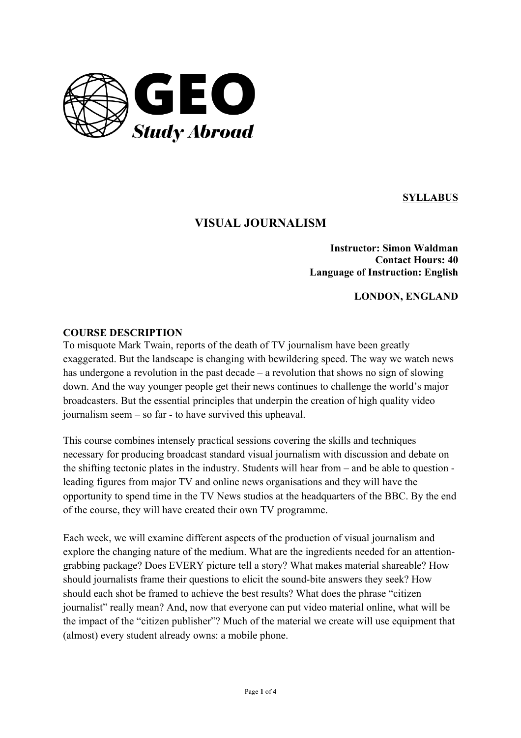

**SYLLABUS**

# **VISUAL JOURNALISM**

**Instructor: Simon Waldman Contact Hours: 40 Language of Instruction: English**

**LONDON, ENGLAND**

#### **COURSE DESCRIPTION**

To misquote Mark Twain, reports of the death of TV journalism have been greatly exaggerated. But the landscape is changing with bewildering speed. The way we watch news has undergone a revolution in the past decade – a revolution that shows no sign of slowing down. And the way younger people get their news continues to challenge the world's major broadcasters. But the essential principles that underpin the creation of high quality video journalism seem – so far - to have survived this upheaval.

This course combines intensely practical sessions covering the skills and techniques necessary for producing broadcast standard visual journalism with discussion and debate on the shifting tectonic plates in the industry. Students will hear from – and be able to question leading figures from major TV and online news organisations and they will have the opportunity to spend time in the TV News studios at the headquarters of the BBC. By the end of the course, they will have created their own TV programme.

Each week, we will examine different aspects of the production of visual journalism and explore the changing nature of the medium. What are the ingredients needed for an attentiongrabbing package? Does EVERY picture tell a story? What makes material shareable? How should journalists frame their questions to elicit the sound-bite answers they seek? How should each shot be framed to achieve the best results? What does the phrase "citizen journalist" really mean? And, now that everyone can put video material online, what will be the impact of the "citizen publisher"? Much of the material we create will use equipment that (almost) every student already owns: a mobile phone.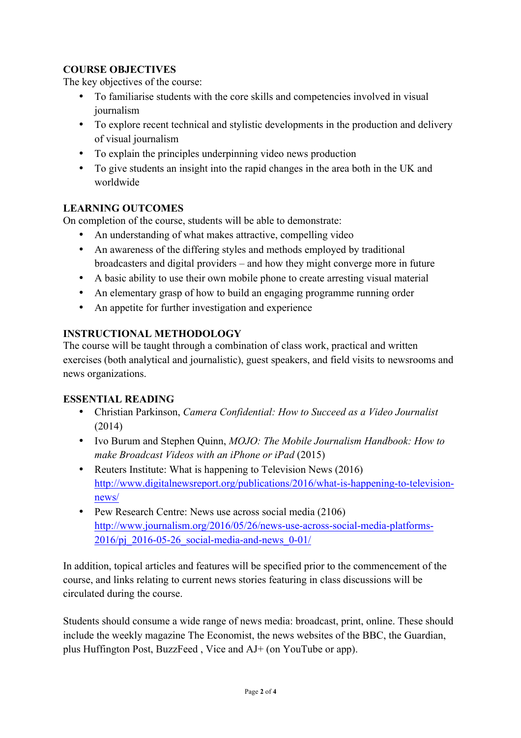# **COURSE OBJECTIVES**

The key objectives of the course:

- To familiarise students with the core skills and competencies involved in visual journalism
- To explore recent technical and stylistic developments in the production and delivery of visual journalism
- To explain the principles underpinning video news production
- To give students an insight into the rapid changes in the area both in the UK and worldwide

## **LEARNING OUTCOMES**

On completion of the course, students will be able to demonstrate:

- An understanding of what makes attractive, compelling video
- An awareness of the differing styles and methods employed by traditional broadcasters and digital providers – and how they might converge more in future
- A basic ability to use their own mobile phone to create arresting visual material
- An elementary grasp of how to build an engaging programme running order
- An appetite for further investigation and experience

# **INSTRUCTIONAL METHODOLOGY**

The course will be taught through a combination of class work, practical and written exercises (both analytical and journalistic), guest speakers, and field visits to newsrooms and news organizations.

## **ESSENTIAL READING**

- Christian Parkinson, *Camera Confidential: How to Succeed as a Video Journalist* (2014)
- Ivo Burum and Stephen Quinn, *MOJO: The Mobile Journalism Handbook: How to make Broadcast Videos with an iPhone or iPad* (2015)
- Reuters Institute: What is happening to Television News (2016) http://www.digitalnewsreport.org/publications/2016/what-is-happening-to-televisionnews/
- Pew Research Centre: News use across social media (2106) http://www.journalism.org/2016/05/26/news-use-across-social-media-platforms-2016/pj\_2016-05-26\_social-media-and-news\_0-01/

In addition, topical articles and features will be specified prior to the commencement of the course, and links relating to current news stories featuring in class discussions will be circulated during the course.

Students should consume a wide range of news media: broadcast, print, online. These should include the weekly magazine The Economist, the news websites of the BBC, the Guardian, plus Huffington Post, BuzzFeed , Vice and AJ+ (on YouTube or app).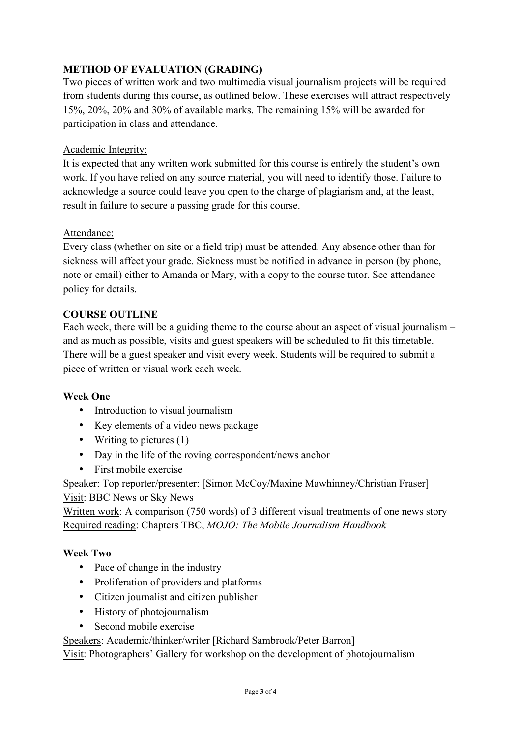# **METHOD OF EVALUATION (GRADING)**

Two pieces of written work and two multimedia visual journalism projects will be required from students during this course, as outlined below. These exercises will attract respectively 15%, 20%, 20% and 30% of available marks. The remaining 15% will be awarded for participation in class and attendance.

#### Academic Integrity:

It is expected that any written work submitted for this course is entirely the student's own work. If you have relied on any source material, you will need to identify those. Failure to acknowledge a source could leave you open to the charge of plagiarism and, at the least, result in failure to secure a passing grade for this course.

#### Attendance:

Every class (whether on site or a field trip) must be attended. Any absence other than for sickness will affect your grade. Sickness must be notified in advance in person (by phone, note or email) either to Amanda or Mary, with a copy to the course tutor. See attendance policy for details.

### **COURSE OUTLINE**

Each week, there will be a guiding theme to the course about an aspect of visual journalism – and as much as possible, visits and guest speakers will be scheduled to fit this timetable. There will be a guest speaker and visit every week. Students will be required to submit a piece of written or visual work each week.

#### **Week One**

- Introduction to visual journalism
- Key elements of a video news package
- Writing to pictures (1)
- Day in the life of the roving correspondent/news anchor
- First mobile exercise

Speaker: Top reporter/presenter: [Simon McCoy/Maxine Mawhinney/Christian Fraser] Visit: BBC News or Sky News

Written work: A comparison (750 words) of 3 different visual treatments of one news story Required reading: Chapters TBC, *MOJO: The Mobile Journalism Handbook*

#### **Week Two**

- Pace of change in the industry
- Proliferation of providers and platforms
- Citizen journalist and citizen publisher
- History of photojournalism
- Second mobile exercise

Speakers: Academic/thinker/writer [Richard Sambrook/Peter Barron]

Visit: Photographers' Gallery for workshop on the development of photojournalism